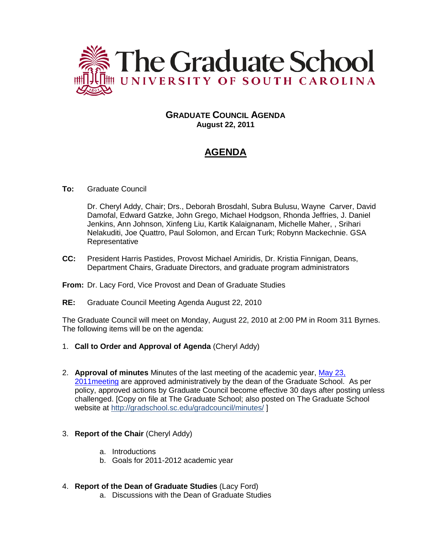

## **GRADUATE COUNCIL AGENDA August 22, 2011**

# **AGENDA**

## **To:** Graduate Council

Dr. Cheryl Addy, Chair; Drs., Deborah Brosdahl, Subra Bulusu, Wayne Carver, David Damofal, Edward Gatzke, John Grego, Michael Hodgson, Rhonda Jeffries, J. Daniel Jenkins, Ann Johnson, Xinfeng Liu, Kartik Kalaignanam, Michelle Maher, , Srihari Nelakuditi, Joe Quattro, Paul Solomon, and Ercan Turk; Robynn Mackechnie. GSA **Representative** 

**CC:** President Harris Pastides, Provost Michael Amiridis, Dr. Kristia Finnigan, Deans, Department Chairs, Graduate Directors, and graduate program administrators

## **From:** Dr. Lacy Ford, Vice Provost and Dean of Graduate Studies

**RE:** Graduate Council Meeting Agenda August 22, 2010

The Graduate Council will meet on Monday, August 22, 2010 at 2:00 PM in Room 311 Byrnes. The following items will be on the agenda:

- 1. **Call to Order and Approval of Agenda** (Cheryl Addy)
- 2. **Approval of minutes** Minutes of the last meeting of the academic year, [May 23,](http://gradschool.sc.edu/gradcouncil/minutes/GCMinutes%20052311.pdf)  [2011meeting](http://gradschool.sc.edu/gradcouncil/minutes/GCMinutes%20052311.pdf) are approved administratively by the dean of the Graduate School. As per policy, approved actions by Graduate Council become effective 30 days after posting unless challenged. [Copy on file at The Graduate School; also posted on The Graduate School website at http://gradschool.sc.edu/gradcouncil/minutes/ ]

## 3. **Report of the Chair** (Cheryl Addy)

- a. Introductions
- b. Goals for 2011-2012 academic year
- 4. **Report of the Dean of Graduate Studies** (Lacy Ford)
	- a. Discussions with the Dean of Graduate Studies